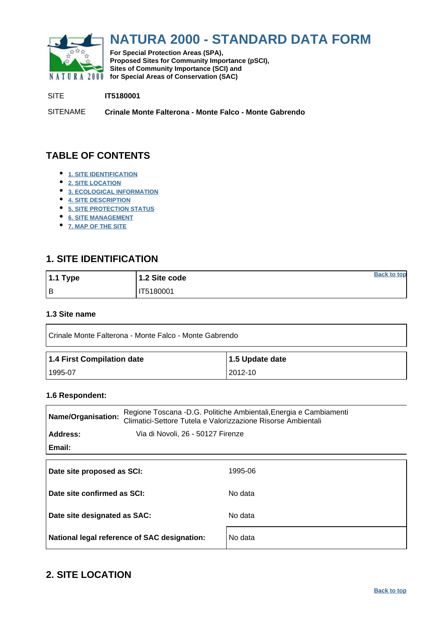<span id="page-0-0"></span>

# **NATURA 2000 - STANDARD DATA FORM**

**For Special Protection Areas (SPA), Proposed Sites for Community Importance (pSCI), Sites of Community Importance (SCI) and NATURA 2000 for Special Areas of Conservation (SAC)** 

SITE **IT5180001**

SITENAME **Crinale Monte Falterona - Monte Falco - Monte Gabrendo**

# **TABLE OF CONTENTS**

- **[1. SITE IDENTIFICATION](#page-0-1)**
- **[2. SITE LOCATION](#page-0-2)**
- **[3. ECOLOGICAL INFORMATION](#page-1-0)**
- **[4. SITE DESCRIPTION](#page-5-0)**
- **[5. SITE PROTECTION STATUS](#page-6-0)**
- **[6. SITE MANAGEMENT](#page-6-1)**
- **[7. MAP OF THE SITE](#page-7-0)**

### <span id="page-0-1"></span>**1. SITE IDENTIFICATION**

| $1.1$ Type | 1.2 Site code | <b>Back to top</b> |
|------------|---------------|--------------------|
| Iв         | IT5180001     |                    |

#### **1.3 Site name**

| I Crinale Monte Falterona - Monte Falco - Monte Gabrendo |                 |  |  |  |  |
|----------------------------------------------------------|-----------------|--|--|--|--|
| 1.4 First Compilation date                               | 1.5 Update date |  |  |  |  |
| 1995-07                                                  | 2012-10         |  |  |  |  |

#### **1.6 Respondent:**

| Name/Organisation:           | Regione Toscana -D.G. Politiche Ambientali, Energia e Cambiamenti<br>Climatici-Settore Tutela e Valorizzazione Risorse Ambientali |         |  |  |  |  |
|------------------------------|-----------------------------------------------------------------------------------------------------------------------------------|---------|--|--|--|--|
| Address:                     | Via di Novoli, 26 - 50127 Firenze                                                                                                 |         |  |  |  |  |
| Email:                       |                                                                                                                                   |         |  |  |  |  |
|                              |                                                                                                                                   |         |  |  |  |  |
| Date site proposed as SCI:   |                                                                                                                                   | 1995-06 |  |  |  |  |
| Date site confirmed as SCI:  |                                                                                                                                   | No data |  |  |  |  |
| Date site designated as SAC: |                                                                                                                                   | No data |  |  |  |  |
|                              |                                                                                                                                   |         |  |  |  |  |

### <span id="page-0-2"></span>**2. SITE LOCATION**

National legal reference of SAC designation: No data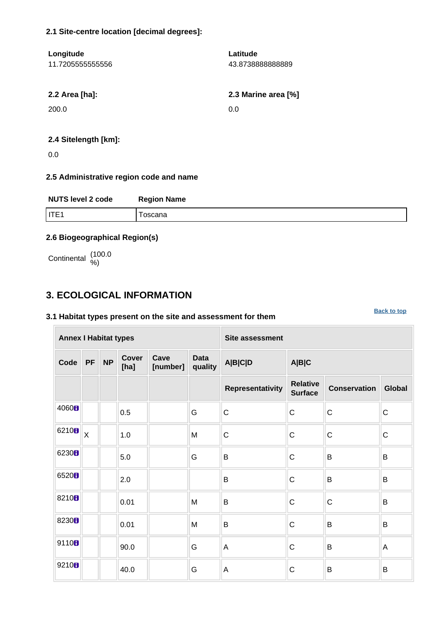#### **2.1 Site-centre location [decimal degrees]:**

| Longitude        | Latitude            |
|------------------|---------------------|
| 11.7205555555556 | 43.8738888888889    |
|                  |                     |
| 2.2 Area [ha]:   | 2.3 Marine area [%] |
| 200.0            | 0.0                 |
|                  |                     |
|                  |                     |

#### **2.4 Sitelength [km]:**

0.0

#### **2.5 Administrative region code and name**

| <b>NUTS level 2 code</b> | <b>Region Name</b> |
|--------------------------|--------------------|
| IITE1                    | oscana             |

#### **2.6 Biogeographical Region(s)**

Continental (100.0

### <span id="page-1-0"></span>**3. ECOLOGICAL INFORMATION**

#### **3.1 Habitat types present on the site and assessment for them**

**Annex I Habitat types Site assessment Code PF NP Cover [ha] Cave [number] Data quality A|B|C|D A|B|C Representativity Relative Surface Conservation Global**  $\begin{array}{c|c|c|c|c} \hline 4060 & & & 0.5 & & \ \hline \end{array}$   $\begin{array}{c|c|c|c} \multicolumn{1}{c|c|c} \multicolumn{1}{c|c|c} \multicolumn{1}{c} \multicolumn{1}{c} \multicolumn{1}{c} \multicolumn{1}{c} \multicolumn{1}{c} \multicolumn{1}{c} \multicolumn{1}{c} \multicolumn{1}{c} \multicolumn{1}{c} \multicolumn{1}{c} \multicolumn{1}{c} \multicolumn{1}{c} \multicolumn{1}{c} \multicolumn{1}{c} \multicolumn{1}{c} \mult$ 6210  $\mathbf{B}$   $\mathbf{X}$  | 1.0 M  $\mathbf{C}$  C  $\mathbf{C}$  C  $\mathbf{C}$ <sup>6230</sup> 5.0 G B C B B <sup>6520</sup> 2.0 B C B B 8210 **b**  $\begin{array}{|c|c|c|c|c|}\n\hline\n\text{8210B} & \text{0.01} \\
\hline\n\end{array}$  M B  $\begin{array}{|c|c|c|c|}\n\hline\n\text{B} & \text{C} & \text{C} \\
\hline\n\end{array}$ 8230 **b**  $\begin{array}{|c|c|c|c|c|}\n\hline\n\text{.} & \text{.} & \text{.} & \text{.} & \text{.} & \text{.} & \text{.} & \text{.} & \text{.} & \text{.} & \text{.} & \text{.} & \text{.} & \text{.} & \text{.} & \text{.} & \text{.} & \text{.} & \text{.} & \text{.} & \text{.} & \text{.} & \text{.} & \text{.} & \text{.} & \text{.} & \text{.} & \text{.} & \text{.} & \text{.} & \text{.} & \text{$ 9110 **9** 90.0 G A C B A 9210  $\blacksquare$  40.0 G A C B B

**[Back to top](#page-0-0)**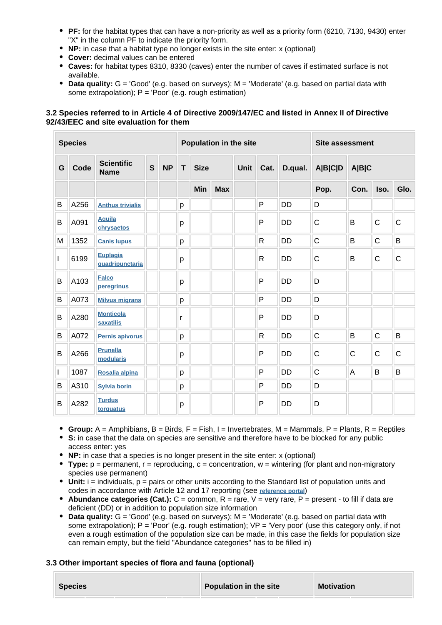- **PF:** for the habitat types that can have a non-priority as well as a priority form (6210, 7130, 9430) enter "X" in the column PF to indicate the priority form.
- **NP:** in case that a habitat type no longer exists in the site enter: x (optional)
- **Cover:** decimal values can be entered
- **Caves:** for habitat types 8310, 8330 (caves) enter the number of caves if estimated surface is not available.
- **Data quality:** G = 'Good' (e.g. based on surveys); M = 'Moderate' (e.g. based on partial data with some extrapolation);  $P = 'Poor'$  (e.g. rough estimation)

#### **3.2 Species referred to in Article 4 of Directive 2009/147/EC and listed in Annex II of Directive 92/43/EEC and site evaluation for them**

|   | <b>Species</b> |                                    |   |           | Population in the site |             |            |      |              | <b>Site assessment</b> |              |              |              |              |
|---|----------------|------------------------------------|---|-----------|------------------------|-------------|------------|------|--------------|------------------------|--------------|--------------|--------------|--------------|
| G | Code           | <b>Scientific</b><br><b>Name</b>   | S | <b>NP</b> | T                      | <b>Size</b> |            | Unit | Cat.         | D.qual.                | A B C D      | A B C        |              |              |
|   |                |                                    |   |           |                        | <b>Min</b>  | <b>Max</b> |      |              |                        | Pop.         | Con.         | Iso.         | Glo.         |
| B | A256           | <b>Anthus trivialis</b>            |   |           | p                      |             |            |      | P            | <b>DD</b>              | D            |              |              |              |
| B | A091           | <b>Aquila</b><br>chrysaetos        |   |           | р                      |             |            |      | P            | <b>DD</b>              | $\mathsf{C}$ | B            | $\mathsf{C}$ | $\mathsf{C}$ |
| M | 1352           | <b>Canis lupus</b>                 |   |           | p                      |             |            |      | R            | <b>DD</b>              | $\mathsf C$  | B            | $\mathsf{C}$ | B            |
| I | 6199           | <b>Euplagia</b><br>quadripunctaria |   |           | р                      |             |            |      | R            | <b>DD</b>              | C            | B            | C            | $\mathsf{C}$ |
| B | A103           | <b>Falco</b><br>peregrinus         |   |           | p                      |             |            |      | P            | <b>DD</b>              | D            |              |              |              |
| B | A073           | <b>Milvus migrans</b>              |   |           | p                      |             |            |      | P            | <b>DD</b>              | D            |              |              |              |
| B | A280           | <b>Monticola</b><br>saxatilis      |   |           | r                      |             |            |      | P            | <b>DD</b>              | D            |              |              |              |
| B | A072           | Pernis apivorus                    |   |           | p                      |             |            |      | $\mathsf{R}$ | <b>DD</b>              | $\mathsf C$  | B            | $\mathsf{C}$ | B            |
| B | A266           | <b>Prunella</b><br>modularis       |   |           | p                      |             |            |      | P            | <b>DD</b>              | $\mathsf{C}$ | $\mathsf{C}$ | $\mathsf{C}$ | $\mathsf{C}$ |
| L | 1087           | Rosalia alpina                     |   |           | p                      |             |            |      | P            | <b>DD</b>              | $\mathsf{C}$ | A            | B            | B            |
| B | A310           | <b>Sylvia borin</b>                |   |           | р                      |             |            |      | P            | <b>DD</b>              | D            |              |              |              |
| B | A282           | <b>Turdus</b><br>torquatus         |   |           | р                      |             |            |      | P            | <b>DD</b>              | D            |              |              |              |

- **Group:** A = Amphibians, B = Birds, F = Fish, I = Invertebrates, M = Mammals, P = Plants, R = Reptiles
- **S:** in case that the data on species are sensitive and therefore have to be blocked for any public access enter: yes
- **NP:** in case that a species is no longer present in the site enter: x (optional)
- **Type:** p = permanent, r = reproducing, c = concentration, w = wintering (for plant and non-migratory species use permanent)
- Unit: i = individuals, p = pairs or other units according to the Standard list of population units and codes in accordance with Article 12 and 17 reporting (see **[reference portal](http://bd.eionet.europa.eu/activities/Natura_2000/reference_portal)**)
- **Abundance categories (Cat.):** C = common, R = rare, V = very rare, P = present to fill if data are deficient (DD) or in addition to population size information
- **Data quality:** G = 'Good' (e.g. based on surveys); M = 'Moderate' (e.g. based on partial data with some extrapolation); P = 'Poor' (e.g. rough estimation); VP = 'Very poor' (use this category only, if not even a rough estimation of the population size can be made, in this case the fields for population size can remain empty, but the field "Abundance categories" has to be filled in)

#### **3.3 Other important species of flora and fauna (optional)**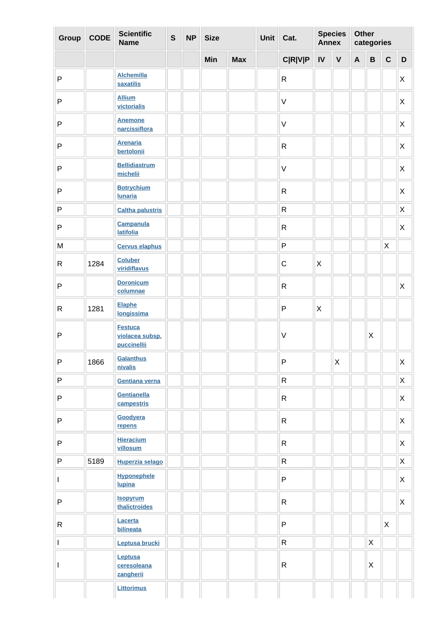| Group                    | <b>CODE</b> | <b>Scientific</b><br><b>Name</b>                 | $\mathsf{s}$ | <b>NP</b> | <b>Size</b> |            | Unit Cat.      | <b>Annex</b> | <b>Species</b>     | <b>Other</b> | categories                |              |                           |
|--------------------------|-------------|--------------------------------------------------|--------------|-----------|-------------|------------|----------------|--------------|--------------------|--------------|---------------------------|--------------|---------------------------|
|                          |             |                                                  |              |           | Min         | <b>Max</b> | <b>C R V P</b> | IV           | $\pmb{\mathsf{V}}$ | $\mathbf{A}$ | $\, {\bf B}$              | $\mathbf C$  | $\mathbf D$               |
| $\sf P$                  |             | <b>Alchemilla</b><br>saxatilis                   |              |           |             |            | ${\sf R}$      |              |                    |              |                           |              | X                         |
| $\sf P$                  |             | <b>Allium</b><br>victorialis                     |              |           |             |            | $\mathsf V$    |              |                    |              |                           |              | X                         |
| $\sf P$                  |             | <b>Anemone</b><br>narcissiflora                  |              |           |             |            | $\mathsf V$    |              |                    |              |                           |              | X                         |
| ${\sf P}$                |             | <b>Arenaria</b><br>bertolonii                    |              |           |             |            | ${\sf R}$      |              |                    |              |                           |              | X                         |
| ${\sf P}$                |             | <b>Bellidiastrum</b><br>michelii                 |              |           |             |            | $\mathsf V$    |              |                    |              |                           |              | X                         |
| ${\sf P}$                |             | <b>Botrychium</b><br><b>Iunaria</b>              |              |           |             |            | ${\sf R}$      |              |                    |              |                           |              | X                         |
| $\sf P$                  |             | <b>Caltha palustris</b>                          |              |           |             |            | ${\sf R}$      |              |                    |              |                           |              | X                         |
| ${\sf P}$                |             | <b>Campanula</b><br><b>latifolia</b>             |              |           |             |            | ${\sf R}$      |              |                    |              |                           |              | X                         |
| M                        |             | <b>Cervus elaphus</b>                            |              |           |             |            | $\mathsf P$    |              |                    |              |                           | X            |                           |
| $\mathsf{R}$             | 1284        | <b>Coluber</b><br>viridiflavus                   |              |           |             |            | $\mathsf C$    | X            |                    |              |                           |              |                           |
| $\mathsf{P}$             |             | <b>Doronicum</b><br>columnae                     |              |           |             |            | ${\sf R}$      |              |                    |              |                           |              | X                         |
| ${\sf R}$                | 1281        | <b>Elaphe</b><br>longissima                      |              |           |             |            | $\mathsf{P}$   | X            |                    |              |                           |              |                           |
| ${\sf P}$                |             | <b>Festuca</b><br>violacea subsp.<br>puccinellii |              |           |             |            | $\mathsf V$    |              |                    |              | $\mathsf X$               |              |                           |
| ${\sf P}$                | 1866        | Galanthus<br>nivalis                             |              |           |             |            | $\mathsf{P}$   |              | $\pmb{\times}$     |              |                           |              | Χ                         |
| $\sf P$                  |             | Gentiana verna                                   |              |           |             |            | $\mathsf{R}$   |              |                    |              |                           |              | $\mathsf{X}$              |
| $\sf P$                  |             | Gentianella<br>campestris                        |              |           |             |            | $\mathsf{R}$   |              |                    |              |                           |              | X                         |
| $\sf P$                  |             | Goodyera<br>repens                               |              |           |             |            | $\mathsf{R}$   |              |                    |              |                           |              | X.                        |
| $\sf P$                  |             | <b>Hieracium</b><br>villosum                     |              |           |             |            | $\mathsf{R}$   |              |                    |              |                           |              | $\mathsf{X}$              |
| $\sf P$                  | 5189        | Huperzia selago                                  |              |           |             |            | ${\sf R}$      |              |                    |              |                           |              | X                         |
| $\mathbf{I}$             |             | <b>Hyponephele</b><br>lupina                     |              |           |             |            | $\mathsf P$    |              |                    |              |                           |              | X                         |
| ${\sf P}$                |             | <b>Isopyrum</b><br>thalictroides                 |              |           |             |            | $\mathsf{R}$   |              |                    |              |                           |              | $\boldsymbol{\mathsf{X}}$ |
| $\mathsf{R}$             |             | Lacerta<br>bilineata                             |              |           |             |            | $\mathsf P$    |              |                    |              |                           | $\mathsf{X}$ |                           |
| $\overline{\phantom{a}}$ |             | Leptusa brucki                                   |              |           |             |            | ${\sf R}$      |              |                    |              | X                         |              |                           |
|                          |             | Leptusa<br>ceresoleana<br>zangherii              |              |           |             |            | ${\sf R}$      |              |                    |              | $\boldsymbol{\mathsf{X}}$ |              |                           |
|                          |             | <b>Littorimus</b>                                |              |           |             |            |                |              |                    |              |                           |              |                           |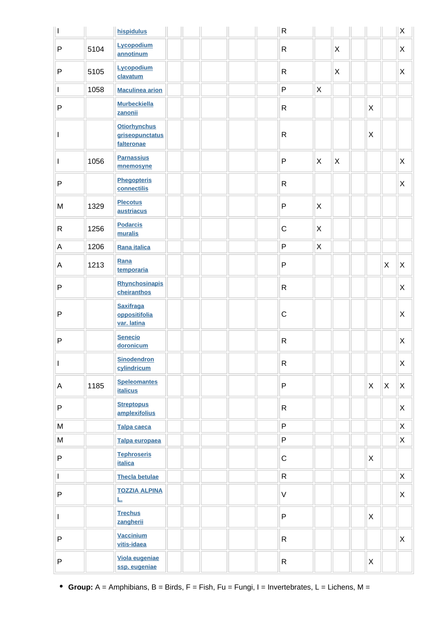| $\overline{\phantom{a}}$                                                              |      | <b>hispidulus</b>                                    |  |  | $\mathsf{R}$ |              |                           |              |              | $\mathsf X$               |
|---------------------------------------------------------------------------------------|------|------------------------------------------------------|--|--|--------------|--------------|---------------------------|--------------|--------------|---------------------------|
| $\sf P$                                                                               | 5104 | Lycopodium<br>annotinum                              |  |  | $\mathsf{R}$ |              | $\mathsf{X}$              |              |              | $\boldsymbol{\mathsf{X}}$ |
| $\mathsf{P}$                                                                          | 5105 | Lycopodium<br>clavatum                               |  |  | $\mathsf R$  |              | $\boldsymbol{\mathsf{X}}$ |              |              | $\boldsymbol{\mathsf{X}}$ |
| $\mathsf{I}$                                                                          | 1058 | <b>Maculinea arion</b>                               |  |  | $\mathsf P$  | X            |                           |              |              |                           |
| $\mathsf{P}$                                                                          |      | <b>Murbeckiella</b><br>zanonii                       |  |  | $\mathsf R$  |              |                           | $\mathsf{X}$ |              |                           |
|                                                                                       |      | <b>Otiorhynchus</b><br>griseopunctatus<br>falteronae |  |  | ${\sf R}$    |              |                           | $\mathsf{X}$ |              |                           |
| $\mathbf{I}$                                                                          | 1056 | <b>Parnassius</b><br>mnemosyne                       |  |  | $\mathsf{P}$ | X            | <b>X</b>                  |              |              | X                         |
| $\sf P$                                                                               |      | <b>Phegopteris</b><br>connectilis                    |  |  | $\mathsf{R}$ |              |                           |              |              | X                         |
| M                                                                                     | 1329 | <b>Plecotus</b><br>austriacus                        |  |  | $\mathsf{P}$ | X            |                           |              |              |                           |
| $\mathsf{R}$                                                                          | 1256 | <b>Podarcis</b><br>muralis                           |  |  | $\mathsf C$  | $\mathsf{X}$ |                           |              |              |                           |
| $\mathsf A$                                                                           | 1206 | Rana italica                                         |  |  | $\mathsf{P}$ | X            |                           |              |              |                           |
| A                                                                                     | 1213 | Rana<br>temporaria                                   |  |  | $\mathsf{P}$ |              |                           |              | $\mathsf{X}$ | $\mathsf{X}$              |
| $\sf P$                                                                               |      | <b>Rhynchosinapis</b><br>cheiranthos                 |  |  | $\mathsf{R}$ |              |                           |              |              | $\mathsf{X}$              |
| $\sf P$                                                                               |      | <b>Saxifraga</b><br>oppositifolia<br>var. latina     |  |  | $\mathsf C$  |              |                           |              |              | $\boldsymbol{\mathsf{X}}$ |
| $\mathsf{P}$                                                                          |      | <b>Senecio</b><br>doronicum                          |  |  | $\mathsf{R}$ |              |                           |              |              | $\mathsf{X}$              |
| I                                                                                     |      | <b>Sinodendron</b><br>cylindricum                    |  |  | $\mathsf{R}$ |              |                           |              |              | X                         |
| A                                                                                     | 1185 | <b>Speleomantes</b><br><b>italicus</b>               |  |  | $\mathsf{P}$ |              |                           | $\mathsf{X}$ | $\mathsf{X}$ | X                         |
| $\sf P$                                                                               |      | <b>Streptopus</b><br>amplexifolius                   |  |  | $\mathsf{R}$ |              |                           |              |              | $\mathsf{X}$              |
| ${\sf M}$                                                                             |      | <b>Talpa caeca</b>                                   |  |  | $\sf P$      |              |                           |              |              | $\mathsf X$               |
| $\mathsf{M}% _{T}=\mathsf{M}_{T}\!\left( a,b\right) ,\ \mathsf{M}_{T}=\mathsf{M}_{T}$ |      | Talpa europaea                                       |  |  | $\sf P$      |              |                           |              |              | X                         |
| $\sf P$                                                                               |      | <b>Tephroseris</b><br><b>italica</b>                 |  |  | $\mathsf C$  |              |                           | $\mathsf{X}$ |              |                           |
| $\mathbf{I}$                                                                          |      | <b>Thecla betulae</b>                                |  |  | $\mathsf{R}$ |              |                           |              |              | X                         |
| $\sf P$                                                                               |      | <b>TOZZIA ALPINA</b><br><u>L.</u>                    |  |  | $\vee$       |              |                           |              |              | $\boldsymbol{\mathsf{X}}$ |
| $\mathbf{I}$                                                                          |      | <b>Trechus</b><br>zangherii                          |  |  | $\mathsf{P}$ |              |                           | $\mathsf{X}$ |              |                           |
| $\mathsf{P}$                                                                          |      | <b>Vaccinium</b><br>vitis-idaea                      |  |  | $\mathsf{R}$ |              |                           |              |              | X                         |
| $\sf P$                                                                               |      | Viola eugeniae<br>ssp. eugeniae                      |  |  | $\mathsf{R}$ |              |                           | $\mathsf{X}$ |              |                           |

**Group:** A = Amphibians, B = Birds, F = Fish, Fu = Fungi, I = Invertebrates, L = Lichens, M =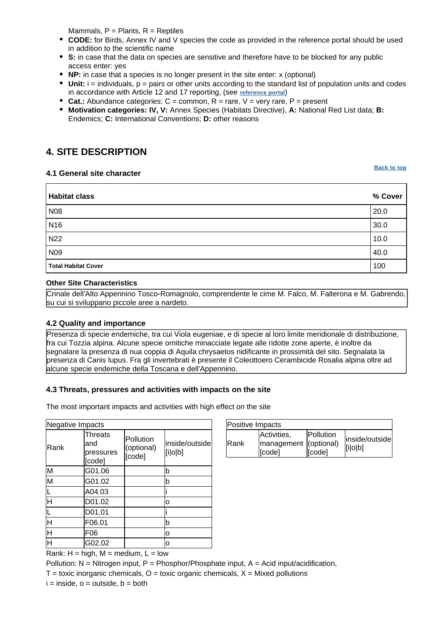Mammals,  $P =$  Plants,  $R =$  Reptiles

- **CODE:** for Birds, Annex IV and V species the code as provided in the reference portal should be used in addition to the scientific name
- **S:** in case that the data on species are sensitive and therefore have to be blocked for any public access enter: yes
- **NP:** in case that a species is no longer present in the site enter: x (optional)
- $\bullet$  Unit:  $i =$  individuals,  $p =$  pairs or other units according to the standard list of population units and codes in accordance with Article 12 and 17 reporting, (see **[reference portal](http://bd.eionet.europa.eu/activities/Natura_2000/reference_portal)**)
- **Cat.:** Abundance categories: C = common, R = rare, V = very rare, P = present
- **Motivation categories: IV, V:** Annex Species (Habitats Directive), **A:** National Red List data; **B:** Endemics; **C:** International Conventions; **D:** other reasons

# <span id="page-5-0"></span>**4. SITE DESCRIPTION**

#### **4.1 General site character**

**Habitat class % Cover** N08 20.0 N16 30.0 N22  $\vert$  10.0 N09 40.0 **Total Habitat Cover** 100

#### **Other Site Characteristics**

Crinale dell'Alto Appennino Tosco-Romagnolo, comprendente le cime M. Falco, M. Falterona e M. Gabrendo, su cui si sviluppano piccole aree a nardeto.

#### **4.2 Quality and importance**

Presenza di specie endemiche, tra cui Viola eugeniae, e di specie al loro limite meridionale di distribuzione, fra cui Tozzia alpina. Alcune specie ornitiche minacciate legate alle ridotte zone aperte, è inoltre da segnalare la presenza di nua coppia di Aquila chrysaetos nidificante in prossimità del sito. Segnalata la presenza di Canis lupus. Fra gli invertebrati è presente il Coleottoero Cerambicide Rosalia alpina oltre ad alcune specie endemiche della Toscana e dell'Appennino.

#### **4.3 Threats, pressures and activities with impacts on the site**

The most important impacts and activities with high effect on the site

| Negative Impacts                                                          |                                              |                                   |                           |  |  |  |  |
|---------------------------------------------------------------------------|----------------------------------------------|-----------------------------------|---------------------------|--|--|--|--|
| Rank                                                                      | <b>Threats</b><br>and<br>pressures<br>[code] | Pollution<br>(optional)<br>[code] | inside/outside<br>[i o b] |  |  |  |  |
| M                                                                         | G01.06                                       |                                   | b                         |  |  |  |  |
| $\overline{\mathsf{M}}$                                                   | G01.02                                       |                                   | b                         |  |  |  |  |
|                                                                           | A04.03                                       |                                   |                           |  |  |  |  |
| H                                                                         | D01.02                                       |                                   | o                         |  |  |  |  |
|                                                                           | D01.01                                       |                                   |                           |  |  |  |  |
| Ή                                                                         | F06.01                                       |                                   | b                         |  |  |  |  |
| $\overline{\mathsf{H}}$                                                   | F06                                          |                                   | ٥                         |  |  |  |  |
| $\overline{\mathsf{H}}$                                                   | G02.02                                       |                                   | ٥                         |  |  |  |  |
| $P = 1.1$<br>الله المحدد والما<br>$L = L$ $\sim$ $L$ $\sim$ $R$ $\Lambda$ |                                              |                                   |                           |  |  |  |  |

| Positive Impacts |                                                |                            |                           |  |  |  |  |
|------------------|------------------------------------------------|----------------------------|---------------------------|--|--|--|--|
| <b>IRank</b>     | Activities,<br>management (optional)<br>[code] | <b>Pollution</b><br>[code] | inside/outside<br>[i o b] |  |  |  |  |

Rank:  $H = high$ ,  $M = medium$ ,  $L = low$ 

Pollution:  $N =$  Nitrogen input, P = Phosphor/Phosphate input, A = Acid input/acidification,

 $T =$  toxic inorganic chemicals,  $O =$  toxic organic chemicals,  $X =$  Mixed pollutions

**[Back to top](#page-0-0)**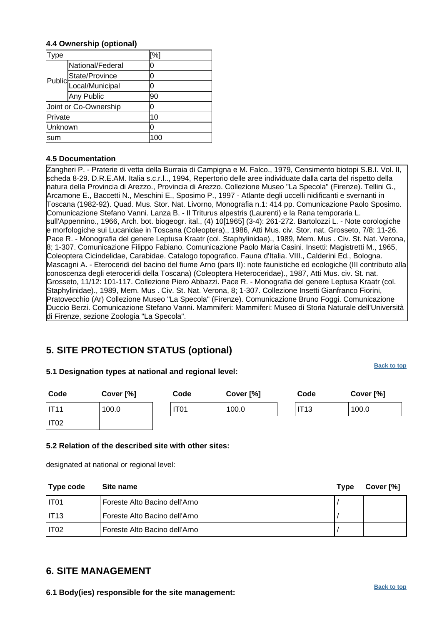#### **4.4 Ownership (optional)**

| ype           |                       | [%] |
|---------------|-----------------------|-----|
|               | National/Federal      | 0   |
|               | State/Province        | 0   |
| <b>Public</b> | Local/Municipal       | 0   |
|               | Any Public            | 90  |
|               | Joint or Co-Ownership | 0   |
| Private       |                       | 10  |
| Unknown       |                       | 0   |
| sum           |                       | 100 |

#### **4.5 Documentation**

Zangheri P. - Praterie di vetta della Burraia di Campigna e M. Falco., 1979, Censimento biotopi S.B.I. Vol. II, scheda 8-29. D.R.E.AM. Italia s.c.r.l.., 1994, Repertorio delle aree individuate dalla carta del rispetto della natura della Provincia di Arezzo., Provincia di Arezzo. Collezione Museo "La Specola" (Firenze). Tellini G., Arcamone E., Baccetti N., Meschini E., Sposimo P., 1997 - Atlante degli uccelli nidificanti e svernanti in Toscana (1982-92). Quad. Mus. Stor. Nat. Livorno, Monografia n.1: 414 pp. Comunicazione Paolo Sposimo. Comunicazione Stefano Vanni. Lanza B. - Il Triturus alpestris (Laurenti) e la Rana temporaria L. sull'Appennino., 1966, Arch. bot. biogeogr. ital., (4) 10[1965] (3-4): 261-272. Bartolozzi L. - Note corologiche e morfologiche sui Lucanidae in Toscana (Coleoptera)., 1986, Atti Mus. civ. Stor. nat. Grosseto, 7/8: 11-26. Pace R. - Monografia del genere Leptusa Kraatr (col. Staphylinidae)., 1989, Mem. Mus . Civ. St. Nat. Verona, 8; 1-307. Comunicazione Filippo Fabiano.
 Comunicazione Paolo Maria Casini. Insetti:
 Magistretti M., 1965, Coleoptera Cicindelidae, Carabidae. Catalogo topografico. Fauna d'Italia. VIII., Calderini Ed., Bologna. Mascagni A. - Eteroceridi del bacino del fiume Arno (pars II): note faunistiche ed ecologiche (III contributo alla conoscenza degli eteroceridi della Toscana) (Coleoptera Heteroceridae)., 1987, Atti Mus. civ. St. nat. Grosseto, 11/12: 101-117. Collezione Piero Abbazzi. Pace R. - Monografia del genere Leptusa Kraatr (col. Staphylinidae)., 1989, Mem. Mus . Civ. St. Nat. Verona, 8; 1-307. Collezione Insetti Gianfranco Fiorini, Pratovecchio (Ar)
 Collezione Museo "La Specola" (Firenze). Comunicazione Bruno Foggi. Comunicazione Duccio Berzi.
 Comunicazione Stefano Vanni. Mammiferi:
 Mammiferi: Museo di Storia Naturale dell'Università di Firenze, sezione Zoologia "La Specola".

# <span id="page-6-0"></span>**5. SITE PROTECTION STATUS (optional)**

#### **5.1 Designation types at national and regional level:**

**[Back to top](#page-0-0)**

| Code             | Cover [%] | Code             | Cover [%] | Code        | Cover [%] |
|------------------|-----------|------------------|-----------|-------------|-----------|
| IT44             | 100.0     | IT <sub>01</sub> | 100.0     | <b>IT13</b> | 100.0     |
| IT <sub>02</sub> |           |                  |           |             |           |

#### **5.2 Relation of the described site with other sites:**

designated at national or regional level:

| Type code                     | Site name                     | <b>Type</b> | Cover [%] |
|-------------------------------|-------------------------------|-------------|-----------|
| I IT01                        | Foreste Alto Bacino dell'Arno |             |           |
| $\overline{\phantom{0}}$ IT13 | Foreste Alto Bacino dell'Arno |             |           |
| IT02                          | Foreste Alto Bacino dell'Arno |             |           |

### <span id="page-6-1"></span>**6. SITE MANAGEMENT**

**6.1 Body(ies) responsible for the site management:**